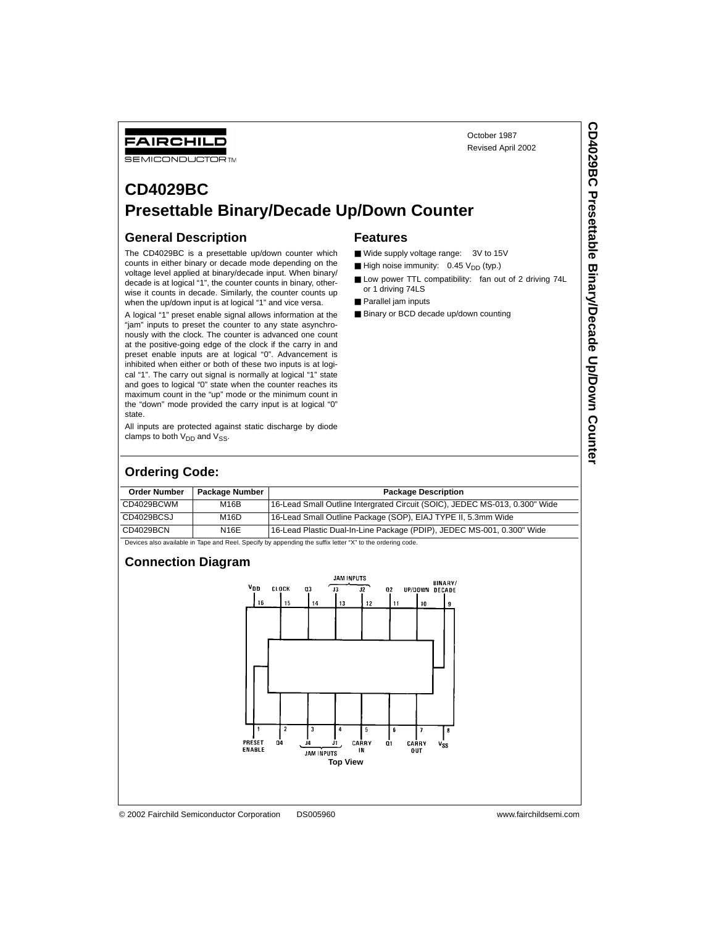October 1987 Revised April 2002

# **CD4029BC Presettable Binary/Decade Up/Down Counter**

## **General Description**

FAIRCHILD **SEMICONDUCTOR TM** 

The CD4029BC is a presettable up/down counter which counts in either binary or decade mode depending on the voltage level applied at binary/decade input. When binary/ decade is at logical "1", the counter counts in binary, otherwise it counts in decade. Similarly, the counter counts up when the up/down input is at logical "1" and vice versa.

A logical "1" preset enable signal allows information at the "jam" inputs to preset the counter to any state asynchronously with the clock. The counter is advanced one count at the positive-going edge of the clock if the carry in and preset enable inputs are at logical "0". Advancement is inhibited when either or both of these two inputs is at logical "1". The carry out signal is normally at logical "1" state and goes to logical "0" state when the counter reaches its maximum count in the "up" mode or the minimum count in the "down" mode provided the carry input is at logical "0" state.

All inputs are protected against static discharge by diode clamps to both  $V_{DD}$  and  $V_{SS}$ .

#### **Features**

- Wide supply voltage range: 3V to 15V
- $\blacksquare$  High noise immunity: 0.45  $V_{DD}$  (typ.)
- Low power TTL compatibility: fan out of 2 driving 74L or 1 driving 74LS
- Parallel jam inputs
- Binary or BCD decade up/down counting

# **Ordering Code:**

| <b>Order Number</b> | Package Number                                                                                                          |                                                                             |  |  |  |  |  |
|---------------------|-------------------------------------------------------------------------------------------------------------------------|-----------------------------------------------------------------------------|--|--|--|--|--|
|                     |                                                                                                                         | <b>Package Description</b>                                                  |  |  |  |  |  |
| CD4029BCWM          | M16B                                                                                                                    | 16-Lead Small Outline Intergrated Circuit (SOIC), JEDEC MS-013, 0.300" Wide |  |  |  |  |  |
| CD4029BCSJ          | M <sub>16</sub> D                                                                                                       | 16-Lead Small Outline Package (SOP), EIAJ TYPE II, 5.3mm Wide               |  |  |  |  |  |
| CD4029BCN           | N16E                                                                                                                    | 16-Lead Plastic Dual-In-Line Package (PDIP), JEDEC MS-001, 0.300" Wide      |  |  |  |  |  |
|                     | Dende and a constitute to Texas and Deat Occasibility accessible above the conflict legacity to the contentration and a |                                                                             |  |  |  |  |  |

ces also available in Tape and Reel. Specify by appending the suffix letter "X" to the ordering code

#### **Connection Diagram**

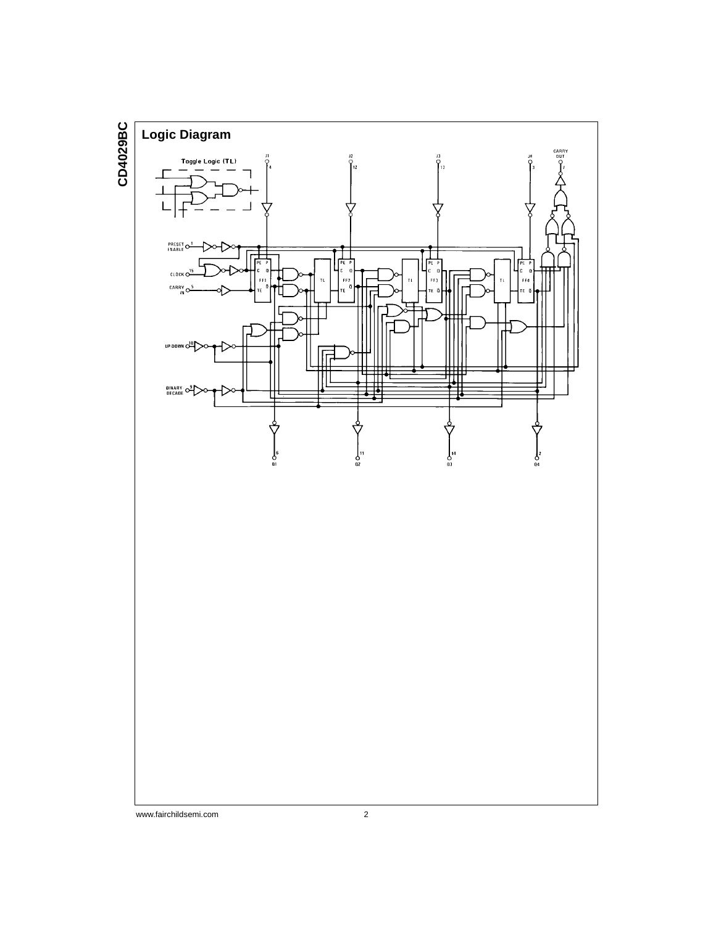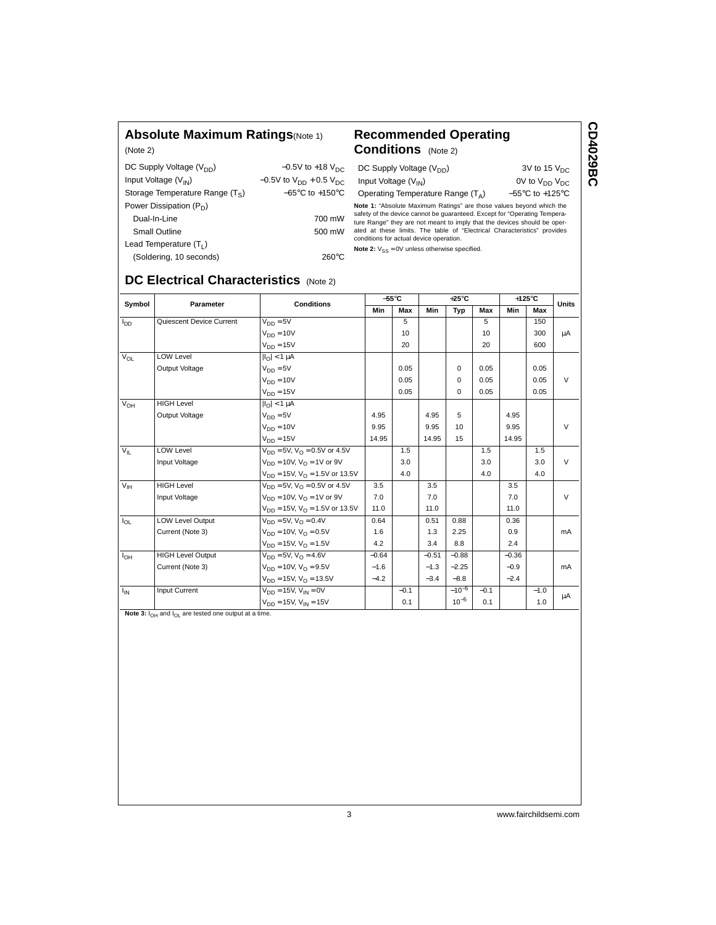### **Absolute Maximum Ratings**(Note 1)

(Note 2)

|  | <b>Recommended Operating</b> |  |
|--|------------------------------|--|
|  |                              |  |

| DC Supply Voltage (V <sub>DD</sub> ) | $-0.5V$ to +18 $V_{DC}$              |
|--------------------------------------|--------------------------------------|
| Input Voltage $(V_{IN})$             | $-0.5V$ to $V_{DD}$ + 0.5 $V_{DC}$   |
| Storage Temperature Range (Ts)       | $-65^{\circ}$ C to +150 $^{\circ}$ C |
| Power Dissipation $(P_D)$            |                                      |
| Dual-In-Line                         | 700 mW                               |
| Small Outline                        | 500 mW                               |
| Lead Temperature $(T_1)$             |                                      |
| $($ Coldoring $10$ coconde)          | ാമ∩∘∩                                |

# **Conditions** (Note 2)

**Note 2:**  $V_{SS} = 0V$  unless otherwise specified.

DC Supply Voltage  $(V_{DD})$  3V to 15  $V_{DC}$ 

Input Voltage  $(V_{\text{IN}})$  0V to  $V_{\text{DD}}$   $V_{\text{DC}}$ 

Operating Temperature Range  $(T_A)$  –55°C to +125°C

**Note 1:** "Absolute Maximum Ratings" are those values beyond which the safety of the device cannot be guaranteed. Except for "Operating Temperature Range" they are not meant to imply that the devices should be operated at

| (Soldering, 10 seconds)                | $260^{\circ}$ C |
|----------------------------------------|-----------------|
| DC Electrical Characteristics (Note 2) |                 |

| Symbol          | Parameter                | <b>Conditions</b>                            |         | $-55^{\circ}$ C | $+25^{\circ}$ C<br>$+125^{\circ}$ C |            |        | <b>Units</b> |        |        |  |
|-----------------|--------------------------|----------------------------------------------|---------|-----------------|-------------------------------------|------------|--------|--------------|--------|--------|--|
|                 |                          |                                              |         | Max             | Min                                 | Typ        | Max    | Min          | Max    |        |  |
| l <sub>DD</sub> | Quiescent Device Current | $V_{DD} = 5V$                                |         | 5               |                                     |            | 5      |              | 150    |        |  |
|                 |                          | $V_{DD} = 10V$                               |         | 10              |                                     |            | 10     |              | 300    | μA     |  |
|                 |                          | $V_{DD} = 15V$                               |         | 20              |                                     |            | 20     |              | 600    |        |  |
| $V_{OL}$        | <b>LOW Level</b>         | $\vert I_{\Omega}\vert$ < 1 $\mu$ A          |         |                 |                                     |            |        |              |        |        |  |
|                 | Output Voltage           | $V_{DD} = 5V$                                |         | 0.05            |                                     | $\Omega$   | 0.05   |              | 0.05   |        |  |
|                 |                          | $V_{DD} = 10V$                               |         | 0.05            |                                     | $\Omega$   | 0.05   |              | 0.05   | $\vee$ |  |
|                 |                          | $V_{DD} = 15V$                               |         | 0.05            |                                     | $\Omega$   | 0.05   |              | 0.05   |        |  |
| $V_{OH}$        | <b>HIGH Level</b>        | $ I_{\Omega}  < 1 \mu A$                     |         |                 |                                     |            |        |              |        |        |  |
|                 | Output Voltage           | $V_{DD} = 5V$                                | 4.95    |                 | 4.95                                | 5          |        | 4.95         |        |        |  |
|                 |                          | $V_{DD} = 10V$                               | 9.95    |                 | 9.95                                | 10         |        | 9.95         |        | $\vee$ |  |
|                 |                          | $V_{DD} = 15V$                               | 14.95   |                 | 14.95                               | 15         |        | 14.95        |        |        |  |
| $V_{\parallel}$ | <b>LOW Level</b>         | $V_{DD} = 5V$ , $V_{O} = 0.5V$ or 4.5V       |         | 1.5             |                                     |            | 1.5    |              | 1.5    |        |  |
|                 | Input Voltage            | $V_{DD} = 10V$ , $V_{\Omega} = 1V$ or 9V     |         | 3.0             |                                     |            | 3.0    |              | 3.0    | $\vee$ |  |
|                 |                          | $V_{DD}$ = 15V, $V_{\Omega}$ = 1.5V or 13.5V |         | 4.0             |                                     |            | 4.0    |              | 4.0    |        |  |
| $V_{\text{IH}}$ | <b>HIGH Level</b>        | $V_{DD} = 5V$ , $V_{\Omega} = 0.5V$ or 4.5V  | 3.5     |                 | 3.5                                 |            |        | 3.5          |        |        |  |
|                 | Input Voltage            | $V_{DD} = 10V$ , $V_{\Omega} = 1V$ or 9V     | 7.0     |                 | 7.0                                 |            |        | 7.0          |        | $\vee$ |  |
|                 |                          | $V_{DD}$ = 15V, $V_{\Omega}$ = 1.5V or 13.5V | 11.0    |                 | 11.0                                |            |        | 11.0         |        |        |  |
| $I_{OL}$        | <b>LOW Level Output</b>  | $V_{DD} = 5V$ , $V_{\Omega} = 0.4V$          | 0.64    |                 | 0.51                                | 0.88       |        | 0.36         |        |        |  |
|                 | Current (Note 3)         | $V_{DD} = 10V$ , $V_{\Omega} = 0.5V$         | 1.6     |                 | 1.3                                 | 2.25       |        | 0.9          |        | mA     |  |
|                 |                          | $V_{DD} = 15V$ , $V_{\Omega} = 1.5V$         | 4.2     |                 | 3.4                                 | 8.8        |        | 2.4          |        |        |  |
| $I_{OH}$        | <b>HIGH Level Output</b> | $V_{DD} = 5V$ , $V_{\Omega} = 4.6V$          | $-0.64$ |                 | $-0.51$                             | $-0.88$    |        | $-0.36$      |        |        |  |
|                 | Current (Note 3)         | $V_{DD} = 10V$ , $V_{\Omega} = 9.5V$         | $-1.6$  |                 | $-1.3$                              | $-2.25$    |        | $-0.9$       |        | mA     |  |
|                 |                          | $V_{DD} = 15V$ , $V_{\Omega} = 13.5V$        | $-4.2$  |                 | $-3.4$                              | $-8.8$     |        | $-2.4$       |        |        |  |
| $I_{\text{IN}}$ | Input Current            | $V_{DD} = 15V$ , $V_{IN} = 0V$               |         | $-0.1$          |                                     | $-10^{-5}$ | $-0.1$ |              | $-1.0$ | μA     |  |
|                 |                          | $V_{DD} = 15V$ , $V_{IN} = 15V$              |         | 0.1             |                                     | $10^{-5}$  | 0.1    |              | 1.0    |        |  |

Note 3:  $I_{OH}$  and  $I_{OL}$  are tested one output at a time.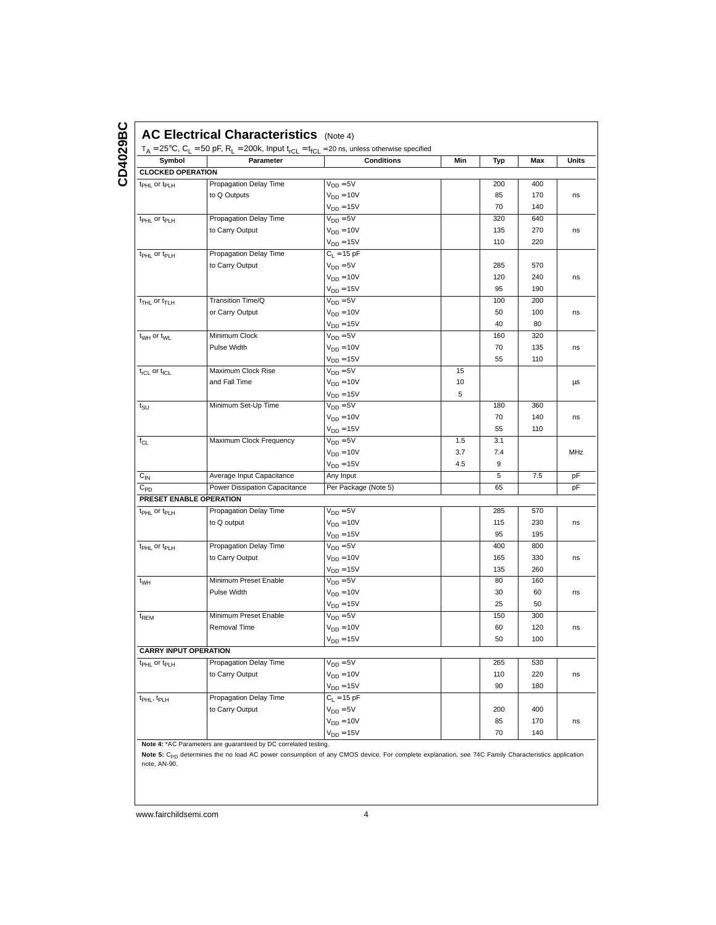| Symbol                               | $T_A = 25^{\circ}C$ , $C_L = 50$ pF, $R_L = 200k$ , Input $t_{rCL} = t_{fCL} = 20$ ns, unless otherwise specified<br>Parameter | <b>Conditions</b>    | Min | Typ | Max | Units |
|--------------------------------------|--------------------------------------------------------------------------------------------------------------------------------|----------------------|-----|-----|-----|-------|
| <b>CLOCKED OPERATION</b>             |                                                                                                                                |                      |     |     |     |       |
| t <sub>PHL</sub> or t <sub>PLH</sub> | Propagation Delay Time                                                                                                         | $V_{DD} = 5V$        |     | 200 | 400 |       |
|                                      | to Q Outputs                                                                                                                   | $V_{DD} = 10V$       |     | 85  | 170 | ns    |
|                                      |                                                                                                                                | $V_{DD} = 15V$       |     | 70  | 140 |       |
| t <sub>PHL</sub> or t <sub>PLH</sub> | Propagation Delay Time                                                                                                         | $V_{DD} = 5V$        |     | 320 | 640 |       |
|                                      | to Carry Output                                                                                                                | $V_{DD} = 10V$       |     | 135 | 270 | ns    |
|                                      |                                                                                                                                | $V_{DD} = 15V$       |     | 110 | 220 |       |
| t <sub>PHL</sub> or t <sub>PLH</sub> | Propagation Delay Time                                                                                                         | $C_{L} = 15 pF$      |     |     |     |       |
|                                      | to Carry Output                                                                                                                | $V_{DD} = 5V$        |     | 285 | 570 |       |
|                                      |                                                                                                                                | $V_{DD} = 10V$       |     | 120 | 240 | ns    |
|                                      |                                                                                                                                | $V_{DD} = 15V$       |     | 95  | 190 |       |
| $t_{THL}$ or $t_{TLH}$               | Transition Time/Q                                                                                                              | $V_{DD} = 5V$        |     | 100 | 200 |       |
|                                      | or Carry Output                                                                                                                | $V_{DD} = 10V$       |     | 50  | 100 | ns    |
|                                      |                                                                                                                                | $V_{DD} = 15V$       |     | 40  | 80  |       |
| t <sub>WH</sub> or t <sub>WL</sub>   | Minimum Clock                                                                                                                  | $V_{DD} = 5V$        |     | 160 | 320 |       |
|                                      | Pulse Width                                                                                                                    | $V_{DD} = 10V$       |     | 70  | 135 | ns    |
|                                      |                                                                                                                                | $V_{DD} = 15V$       |     | 55  | 110 |       |
| $t_{rCL}$ or $t_{fCL}$               | Maximum Clock Rise                                                                                                             | $V_{DD} = 5V$        | 15  |     |     |       |
|                                      | and Fall Time                                                                                                                  | $V_{DD} = 10V$       | 10  |     |     | μs    |
|                                      |                                                                                                                                | $V_{DD} = 15V$       | 5   |     |     |       |
| $t_{\scriptstyle\text{SU}}$          | Minimum Set-Up Time                                                                                                            | $V_{DD} = 5V$        |     | 180 | 360 |       |
|                                      |                                                                                                                                | $V_{DD} = 10V$       |     | 70  | 140 | ns    |
|                                      |                                                                                                                                | $V_{DD} = 15V$       |     | 55  | 110 |       |
| $f_{CL}$                             | Maximum Clock Frequency                                                                                                        | $V_{DD} = 5V$        | 1.5 | 3.1 |     |       |
|                                      |                                                                                                                                | $V_{DD} = 10V$       | 3.7 | 7.4 |     | MHz   |
|                                      |                                                                                                                                | $V_{DD} = 15V$       | 4.5 | 9   |     |       |
| $C_{\text{IN}}$                      | Average Input Capacitance                                                                                                      | Any Input            |     | 5   | 7.5 | pF    |
| $C_{PD}$                             | Power Dissipation Capacitance                                                                                                  | Per Package (Note 5) |     | 65  |     | рF    |
| PRESET ENABLE OPERATION              |                                                                                                                                |                      |     |     |     |       |
| t <sub>PHL</sub> or t <sub>PLH</sub> | Propagation Delay Time                                                                                                         | $V_{DD} = 5V$        |     | 285 | 570 |       |
|                                      | to Q output                                                                                                                    | $V_{DD} = 10V$       |     | 115 | 230 |       |
|                                      |                                                                                                                                | $V_{DD} = 15V$       |     | 95  | 195 |       |
| t <sub>PHL</sub> or t <sub>PLH</sub> | Propagation Delay Time                                                                                                         | $V_{DD} = 5V$        |     | 400 | 800 |       |
|                                      | to Carry Output                                                                                                                | $V_{DD} = 10V$       |     | 165 | 330 |       |
|                                      |                                                                                                                                | $V_{DD} = 15V$       |     | 135 | 260 |       |
| t <sub>WH</sub>                      | Minimum Preset Enable                                                                                                          | $V_{DD} = 5V$        |     | 80  | 160 |       |
|                                      | Pulse Width                                                                                                                    | $V_{DD} = 10V$       |     | 30  | 60  | ns    |
|                                      |                                                                                                                                | $V_{DD} = 15V$       |     | 25  | 50  |       |
| t <sub>REM</sub>                     | Minimum Preset Enable                                                                                                          | $V_{DD} = 5V$        |     | 150 | 300 |       |
|                                      | Removal Time                                                                                                                   | $V_{DD} = 10V$       |     | 60  | 120 |       |
|                                      |                                                                                                                                | $V_{DD} = 15V$       |     | 50  | 100 |       |
| <b>CARRY INPUT OPERATION</b>         |                                                                                                                                |                      |     |     |     |       |
| t <sub>PHL</sub> or t <sub>PLH</sub> | Propagation Delay Time                                                                                                         | $V_{DD} = 5V$        |     | 265 | 530 |       |
|                                      | to Carry Output                                                                                                                | $V_{DD} = 10V$       |     | 110 | 220 |       |
|                                      |                                                                                                                                | $V_{DD} = 15V$       |     | 90  | 180 |       |
| t <sub>PHL</sub> , t <sub>PLH</sub>  | Propagation Delay Time                                                                                                         | $C_{L} = 15 pF$      |     |     |     |       |
|                                      | to Carry Output                                                                                                                | $V_{DD} = 5V$        |     | 200 | 400 |       |
|                                      |                                                                                                                                | $V_{DD} = 10V$       |     | 85  | 170 | ns    |
|                                      |                                                                                                                                | $V_{DD} = 15V$       |     | 70  | 140 |       |

**Note 4:** \*AC Parameters are guaranteed by DC correlated testing.

**Note 5:** C<sub>PD</sub> determines the no load AC power consumption of any CMOS device. For complete explanation, see 74C Family Characteristics application<br>note, AN-90.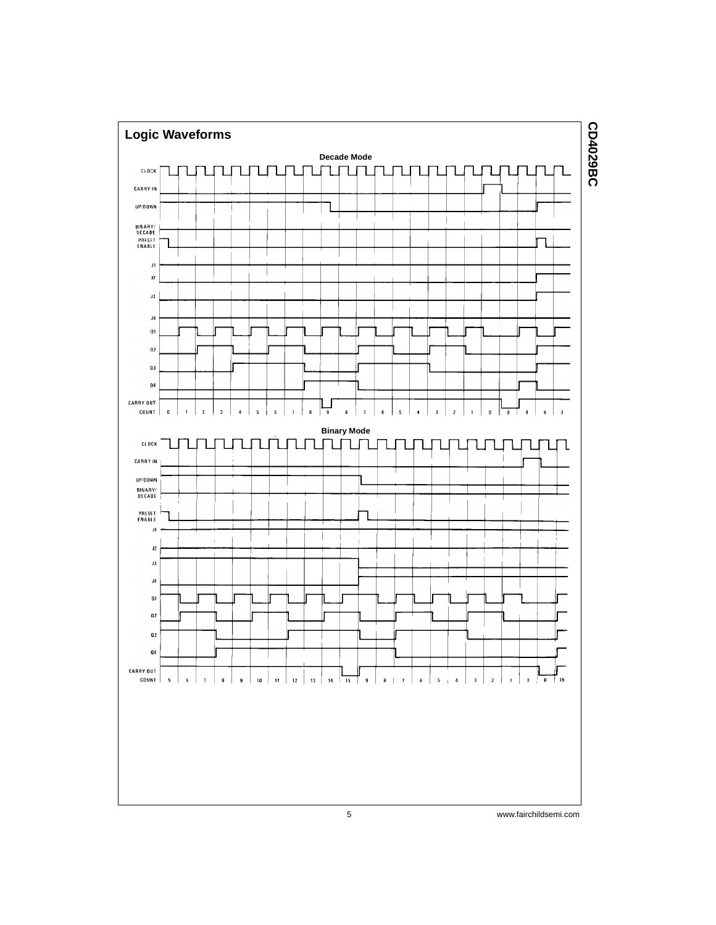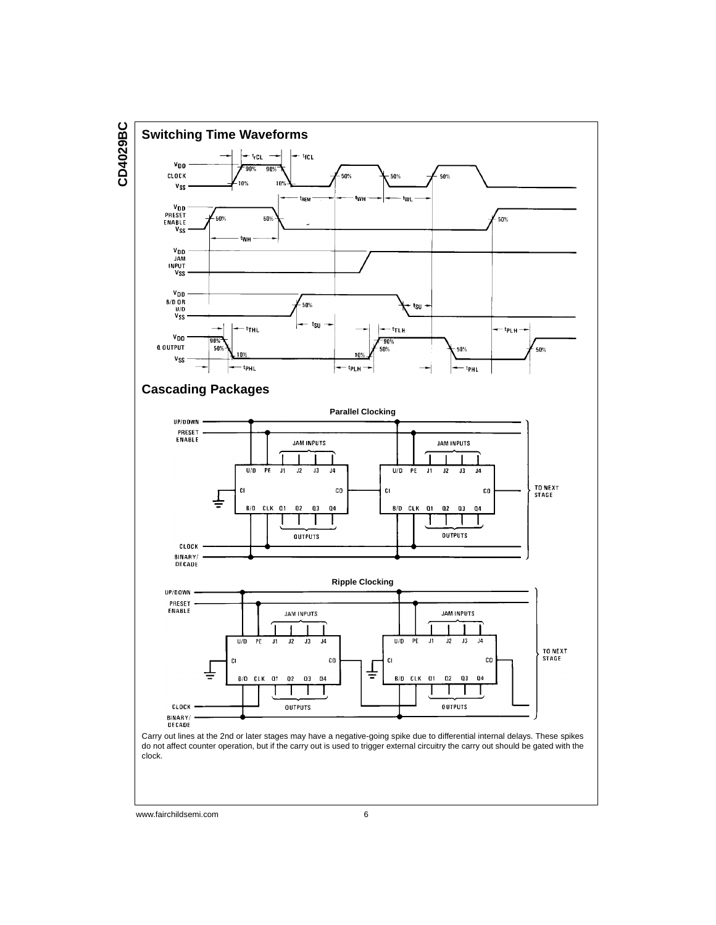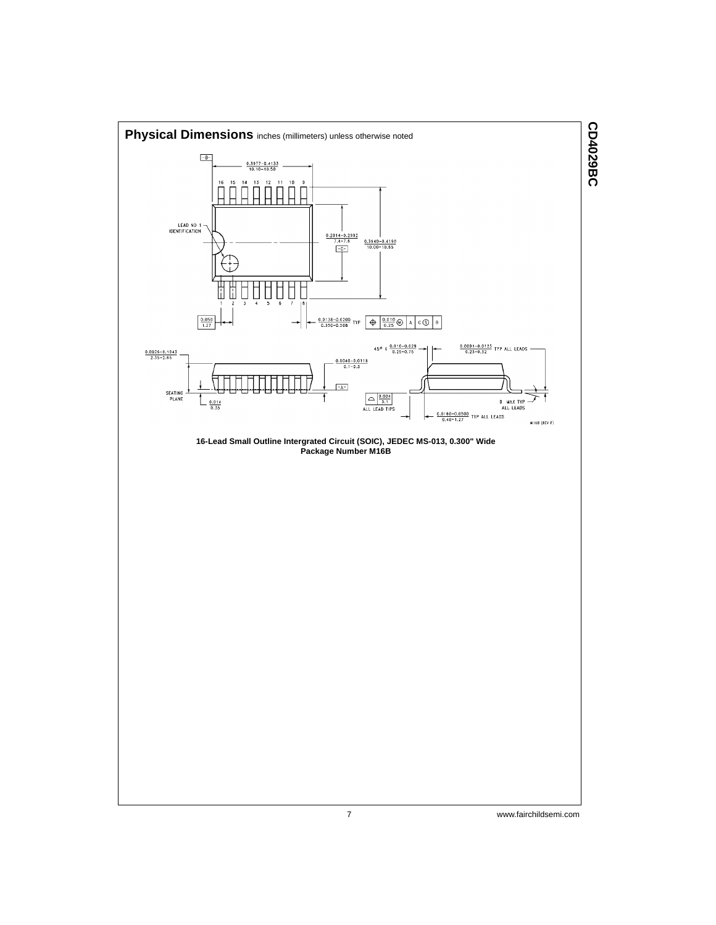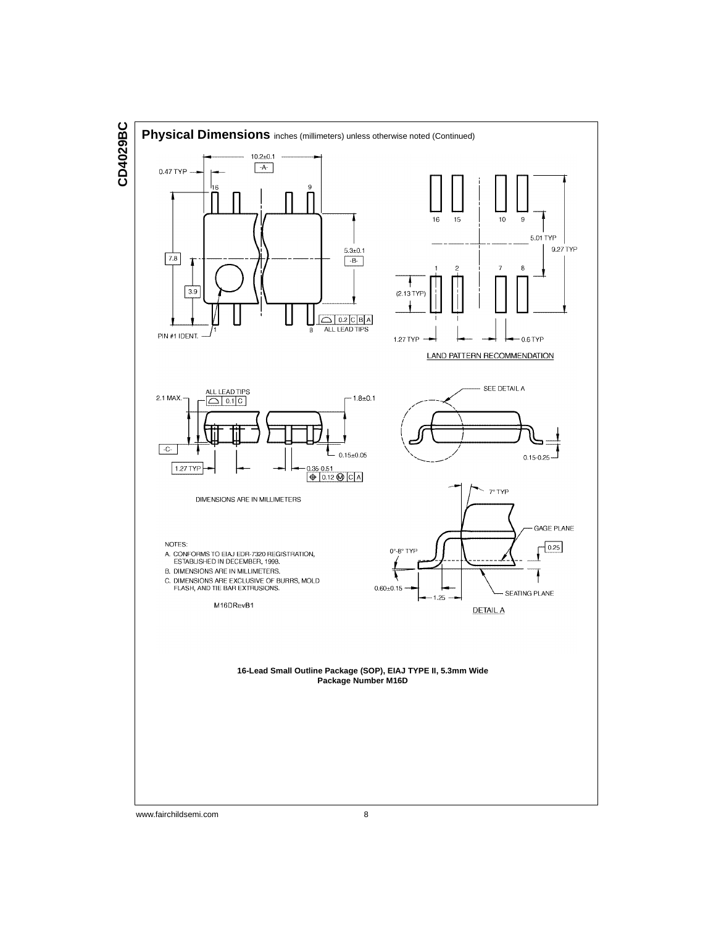